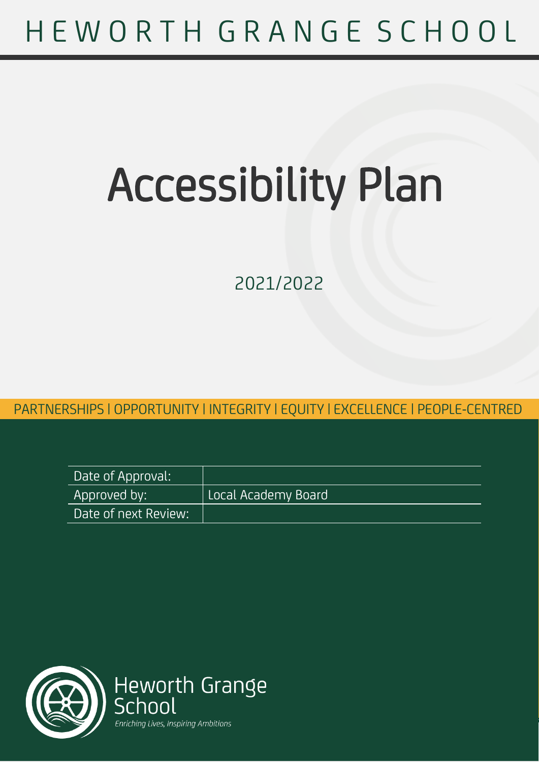# H E W O R T H G R A N G E S C H O O L

# Accessibility Plan

2021/2022

PARTNERSHIPS | OPPORTUNITY | INTEGRITY | EQUITY | EXCELLENCE | PEOPLE-PARTNERSHIPS | OPPORTUNITY | INTEGRITY | EQUITY | EXCELLENCE | PEOPLE-CENTRED

| Date of Approval:    |                     |
|----------------------|---------------------|
| Approved by: I       | Local Academy Board |
| Date of next Review: |                     |

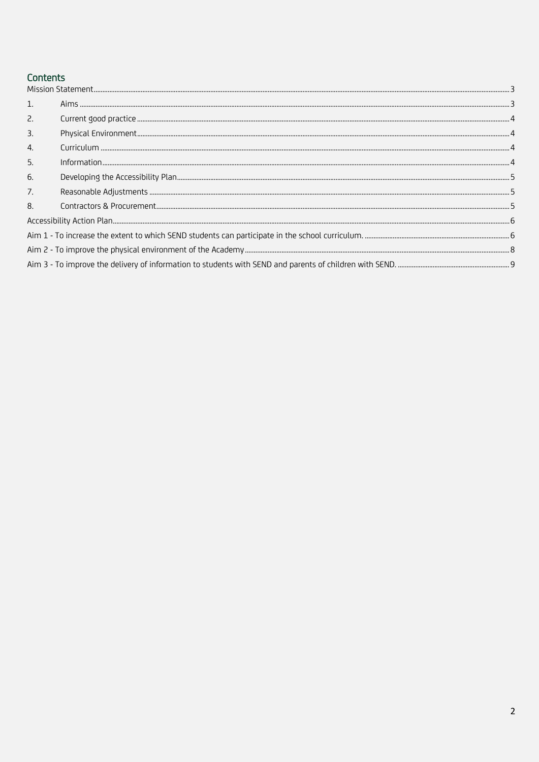### Contents

| 1. |  |
|----|--|
| 2. |  |
| 3. |  |
| 4. |  |
| 5. |  |
| 6. |  |
| 7. |  |
| 8. |  |
|    |  |
|    |  |
|    |  |
|    |  |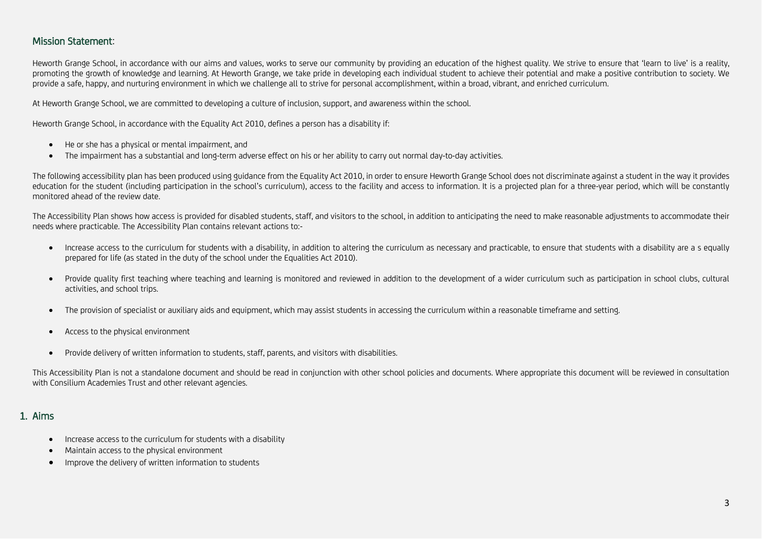#### Mission Statement:

Heworth Grange School, in accordance with our aims and values, works to serve our community by providing an education of the highest quality. We strive to ensure that 'learn to live' is a reality, promoting the growth of knowledge and learning. At Heworth Grange, we take pride in developing each individual student to achieve their potential and make a positive contribution to society. We provide a safe, happy, and nurturing environment in which we challenge all to strive for personal accomplishment, within a broad, vibrant, and enriched curriculum.

At Heworth Grange School, we are committed to developing a culture of inclusion, support, and awareness within the school.

Heworth Grange School, in accordance with the Equality Act 2010, defines a person has a disability if:

- He or she has a physical or mental impairment, and
- The impairment has a substantial and long-term adverse effect on his or her ability to carry out normal day-to-day activities.

The following accessibility plan has been produced using guidance from the Equality Act 2010, in order to ensure Heworth Grange School does not discriminate against a student in the way it provides education for the student (including participation in the school's curriculum), access to the facility and access to information. It is a projected plan for a three-year period, which will be constantly monitored ahead of the review date.

The Accessibility Plan shows how access is provided for disabled students, staff, and visitors to the school, in addition to anticipating the need to make reasonable adjustments to accommodate their needs where practicable. The Accessibility Plan contains relevant actions to:-

- <span id="page-2-0"></span>• Increase access to the curriculum for students with a disability, in addition to altering the curriculum as necessary and practicable, to ensure that students with a disability are a s equally prepared for life (as stated in the duty of the school under the Equalities Act 2010).
- Provide quality first teaching where teaching and learning is monitored and reviewed in addition to the development of a wider curriculum such as participation in school clubs, cultural activities, and school trips.
- The provision of specialist or auxiliary aids and equipment, which may assist students in accessing the curriculum within a reasonable timeframe and setting.
- Access to the physical environment
- Provide delivery of written information to students, staff, parents, and visitors with disabilities.

This Accessibility Plan is not a standalone document and should be read in conjunction with other school policies and documents. Where appropriate this document will be reviewed in consultation with Consilium Academies Trust and other relevant agencies.

#### 1. Aims

- Increase access to the curriculum for students with a disability
- Maintain access to the physical environment
- <span id="page-2-1"></span>• Improve the delivery of written information to students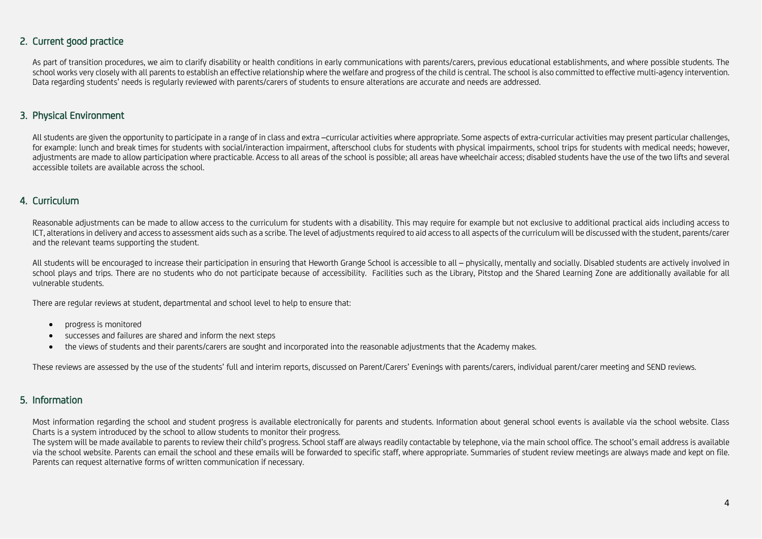#### 2. Current good practice

As part of transition procedures, we aim to clarify disability or health conditions in early communications with parents/carers, previous educational establishments, and where possible students. The school works very closely with all parents to establish an effective relationship where the welfare and progress of the child is central. The school is also committed to effective multi-agency intervention. Data regarding students' needs is regularly reviewed with parents/carers of students to ensure alterations are accurate and needs are addressed.

#### 3. Physical Environment

All students are given the opportunity to participate in a range of in class and extra –curricular activities where appropriate. Some aspects of extra-curricular activities may present particular challenges, for example: lunch and break times for students with social/interaction impairment, afterschool clubs for students with physical impairments, school trips for students with medical needs; however, adjustments are made to allow participation where practicable. Access to all areas of the school is possible; all areas have wheelchair access; disabled students have the use of the two lifts and several accessible toilets are available across the school.

#### 4. Curriculum

Reasonable adjustments can be made to allow access to the curriculum for students with a disability. This may require for example but not exclusive to additional practical aids including access to ICT, alterations in delivery and access to assessment aids such as a scribe. The level of adjustments required to aid access to all aspects of the curriculum will be discussed with the student, parents/carer and the relevant teams supporting the student.

<span id="page-3-0"></span>All students will be encouraged to increase their participation in ensuring that Heworth Grange School is accessible to all – physically, mentally and socially. Disabled students are actively involved in school plays and trips. There are no students who do not participate because of accessibility. Facilities such as the Library, Pitstop and the Shared Learning Zone are additionally available for all vulnerable students.

There are regular reviews at student, departmental and school level to help to ensure that:

- <span id="page-3-1"></span>• progress is monitored
- successes and failures are shared and inform the next steps
- the views of students and their parents/carers are sought and incorporated into the reasonable adjustments that the Academy makes.

These reviews are assessed by the use of the students' full and interim reports, discussed on Parent/Carers' Evenings with parents/carers, individual parent/carer meeting and SEND reviews.

#### 5. Information

<span id="page-3-2"></span>Most information regarding the school and student progress is available electronically for parents and students. Information about general school events is available via the school website. Class Charts is a system introduced by the school to allow students to monitor their progress.

<span id="page-3-3"></span>The system will be made available to parents to review their child's progress. School staff are always readily contactable by telephone, via the main school office. The school's email address is available via the school website. Parents can email the school and these emails will be forwarded to specific staff, where appropriate. Summaries of student review meetings are always made and kept on file. Parents can request alternative forms of written communication if necessary.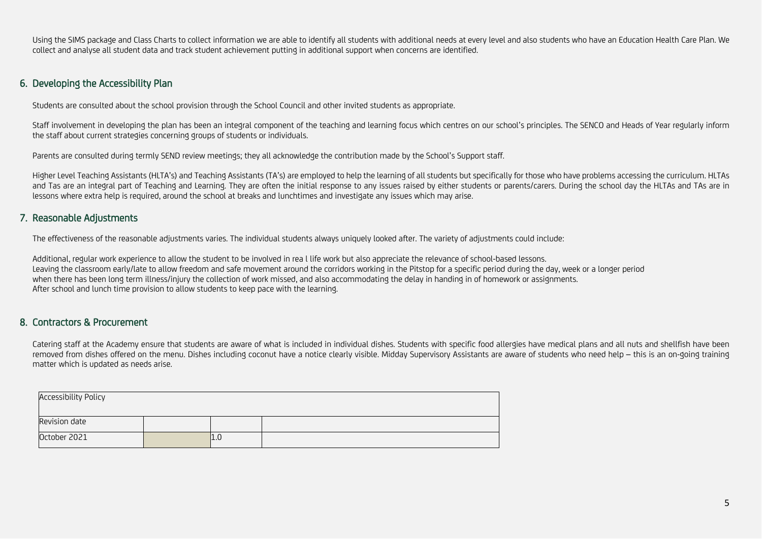Using the SIMS package and Class Charts to collect information we are able to identify all students with additional needs at every level and also students who have an Education Health Care Plan. We collect and analyse all student data and track student achievement putting in additional support when concerns are identified.

#### 6. Developing the Accessibility Plan

Students are consulted about the school provision through the School Council and other invited students as appropriate.

Staff involvement in developing the plan has been an integral component of the teaching and learning focus which centres on our school's principles. The SENCO and Heads of Year regularly inform the staff about current strategies concerning groups of students or individuals.

Parents are consulted during termly SEND review meetings; they all acknowledge the contribution made by the School's Support staff.

Higher Level Teaching Assistants (HLTA's) and Teaching Assistants (TA's) are employed to help the learning of all students but specifically for those who have problems accessing the curriculum. HLTAs and Tas are an integral part of Teaching and Learning. They are often the initial response to any issues raised by either students or parents/carers. During the school day the HLTAs and TAs are in lessons where extra help is required, around the school at breaks and lunchtimes and investigate any issues which may arise.

#### 7. Reasonable Adjustments

The effectiveness of the reasonable adjustments varies. The individual students always uniquely looked after. The variety of adjustments could include:

Additional, regular work experience to allow the student to be involved in rea l life work but also appreciate the relevance of school-based lessons. Leaving the classroom early/late to allow freedom and safe movement around the corridors working in the Pitstop for a specific period during the day, week or a longer period when there has been long term illness/injury the collection of work missed, and also accommodating the delay in handing in of homework or assignments. After school and lunch time provision to allow students to keep pace with the learning.

#### <span id="page-4-0"></span>8. Contractors & Procurement

Catering staff at the Academy ensure that students are aware of what is included in individual dishes. Students with specific food allergies have medical plans and all nuts and shellfish have been removed from dishes offered on the menu. Dishes including coconut have a notice clearly visible. Midday Supervisory Assistants are aware of students who need help - this is an on-going training matter which is updated as needs arise.

<span id="page-4-2"></span><span id="page-4-1"></span>

| <b>Accessibility Policy</b> |  |     |  |  |
|-----------------------------|--|-----|--|--|
| Revision date               |  |     |  |  |
| October 2021                |  | L.U |  |  |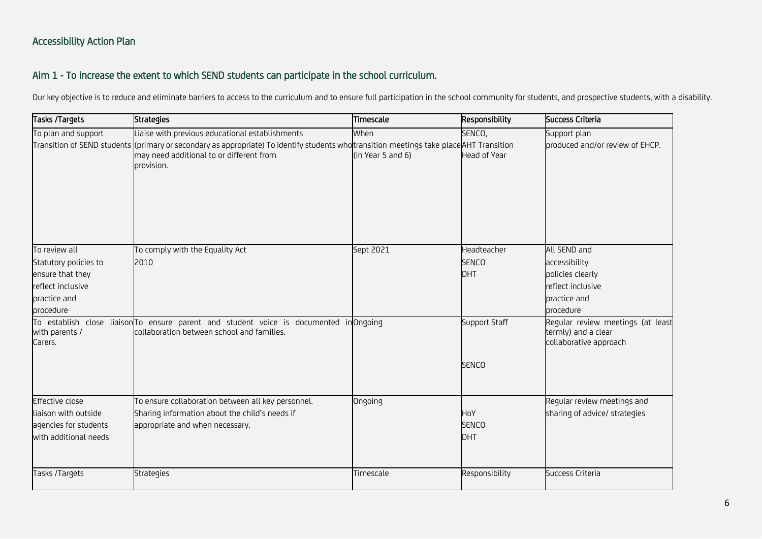## Aim 1 - To increase the extent to which SEND students can participate in the school curriculum.

Our key objective is to reduce and eliminate barriers to access to the curriculum and to ensure full participation in the school community for students, and prospective students, with a disability.

<span id="page-5-1"></span><span id="page-5-0"></span>

| Tasks /Targets            | <b>Strategies</b>                                                                                                                                                                                                | Timescale         | Responsibility      | Success Criteria                                                                   |
|---------------------------|------------------------------------------------------------------------------------------------------------------------------------------------------------------------------------------------------------------|-------------------|---------------------|------------------------------------------------------------------------------------|
| To plan and support       | Liaise with previous educational establishments                                                                                                                                                                  | When              | SENCO,              | Support plan                                                                       |
|                           | Transition of SEND students ((primary or secondary as appropriate) To identify students who <mark>t</mark> ransition meetings take placeAHT Transition<br>may need additional to or different from<br>provision. | (in Year 5 and 6) | <b>Head of Year</b> | produced and/or review of EHCP.                                                    |
| To review all             | To comply with the Equality Act                                                                                                                                                                                  | Sept 2021         | Headteacher         | All SEND and                                                                       |
| Statutory policies to     | 2010                                                                                                                                                                                                             |                   | <b>SENCO</b>        | accessibility                                                                      |
| ensure that they          |                                                                                                                                                                                                                  |                   | DHT                 | policies clearly                                                                   |
| reflect inclusive         |                                                                                                                                                                                                                  |                   |                     | reflect inclusive                                                                  |
| practice and              |                                                                                                                                                                                                                  |                   |                     | practice and                                                                       |
| procedure                 |                                                                                                                                                                                                                  |                   |                     | procedure                                                                          |
| with parents /<br>Carers. | To establish close liaison To ensure parent and student voice is documented in Ongoing<br>collaboration between school and families.                                                                             |                   | Support Staff       | Regular review meetings (at least<br>termly) and a clear<br>collaborative approach |
|                           |                                                                                                                                                                                                                  |                   | <b>SENCO</b>        |                                                                                    |
| <b>Effective close</b>    | To ensure collaboration between all key personnel.                                                                                                                                                               | Ongoing           |                     | Regular review meetings and                                                        |
| liaison with outside      | Sharing information about the child's needs if                                                                                                                                                                   |                   | HoY                 | sharing of advice/ strategies                                                      |
| agencies for students     | appropriate and when necessary.                                                                                                                                                                                  |                   | <b>SENCO</b>        |                                                                                    |
| with additional needs     |                                                                                                                                                                                                                  |                   | DHT                 |                                                                                    |
| Tasks /Targets            | Strategies                                                                                                                                                                                                       | Timescale         | Responsibility      | Success Criteria                                                                   |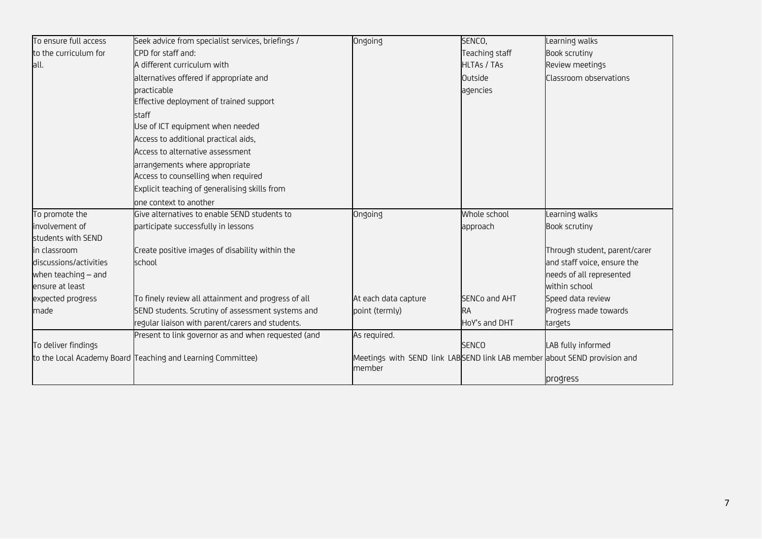| To ensure full access  | Seek advice from specialist services, briefings /           | Ongoing                                                                            | SENCO,             | Learning walks                |
|------------------------|-------------------------------------------------------------|------------------------------------------------------------------------------------|--------------------|-------------------------------|
| to the curriculum for  | CPD for staff and:                                          |                                                                                    | Teaching staff     | <b>Book scrutiny</b>          |
| all.                   | A different curriculum with                                 |                                                                                    | <b>HLTAs / TAs</b> | Review meetings               |
|                        | alternatives offered if appropriate and                     |                                                                                    | Outside            | Classroom observations        |
|                        | practicable                                                 |                                                                                    | agencies           |                               |
|                        | Effective deployment of trained support                     |                                                                                    |                    |                               |
|                        | staff                                                       |                                                                                    |                    |                               |
|                        | Use of ICT equipment when needed                            |                                                                                    |                    |                               |
|                        | Access to additional practical aids,                        |                                                                                    |                    |                               |
|                        | Access to alternative assessment                            |                                                                                    |                    |                               |
|                        | arrangements where appropriate                              |                                                                                    |                    |                               |
|                        | Access to counselling when required                         |                                                                                    |                    |                               |
|                        | Explicit teaching of generalising skills from               |                                                                                    |                    |                               |
|                        | one context to another                                      |                                                                                    |                    |                               |
| To promote the         | Give alternatives to enable SEND students to                | Ongoing                                                                            | Whole school       | Learning walks                |
| involvement of         | participate successfully in lessons                         |                                                                                    | approach           | <b>Book scrutiny</b>          |
| students with SEND     |                                                             |                                                                                    |                    |                               |
| in classroom           | Create positive images of disability within the             |                                                                                    |                    | Through student, parent/carer |
| discussions/activities | school                                                      |                                                                                    |                    | and staff voice, ensure the   |
| when teaching $-$ and  |                                                             |                                                                                    |                    | needs of all represented      |
| ensure at least        |                                                             |                                                                                    |                    | within school                 |
| expected progress      | To finely review all attainment and progress of all         | At each data capture                                                               | SENCo and AHT      | Speed data review             |
| made                   | SEND students. Scrutiny of assessment systems and           | point (termly)                                                                     | <b>RA</b>          | Progress made towards         |
|                        | regular liaison with parent/carers and students.            |                                                                                    | HoY's and DHT      | targets                       |
|                        | Present to link governor as and when requested (and         | As required.                                                                       |                    |                               |
| To deliver findings    |                                                             |                                                                                    | <b>SENCO</b>       | LAB fully informed            |
|                        | to the Local Academy Board Teaching and Learning Committee) | Meetings with SEND link LABSEND link LAB member about SEND provision and<br>member |                    |                               |
|                        |                                                             |                                                                                    |                    | progress                      |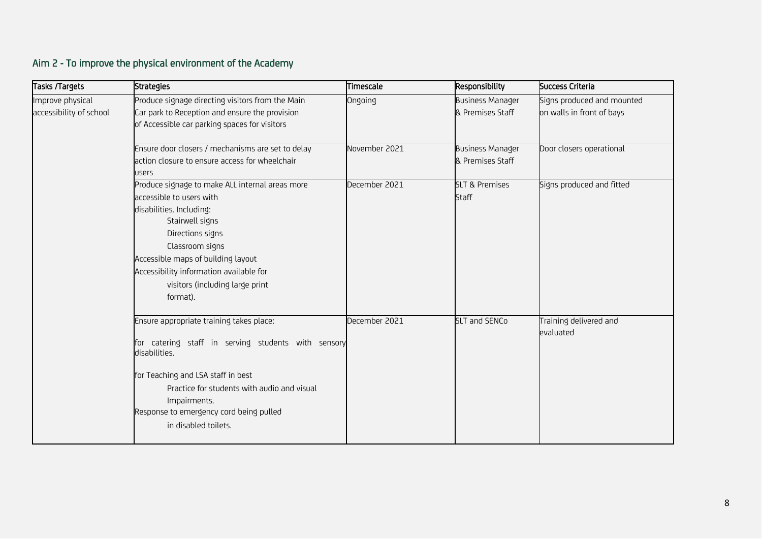# Aim 2 - To improve the physical environment of the Academy

<span id="page-7-0"></span>

| Tasks /Targets          | <b>Strategies</b>                                   | Timescale     | Responsibility            | Success Criteria           |
|-------------------------|-----------------------------------------------------|---------------|---------------------------|----------------------------|
| Improve physical        | Produce signage directing visitors from the Main    | Ongoing       | <b>Business Manager</b>   | Signs produced and mounted |
| accessibility of school | Car park to Reception and ensure the provision      |               | & Premises Staff          | on walls in front of bays  |
|                         | of Accessible car parking spaces for visitors       |               |                           |                            |
|                         |                                                     |               |                           |                            |
|                         | Ensure door closers / mechanisms are set to delay   | November 2021 | <b>Business Manager</b>   | Door closers operational   |
|                         | action closure to ensure access for wheelchair      |               | & Premises Staff          |                            |
|                         | <b>USErS</b>                                        |               |                           |                            |
|                         | Produce signage to make ALL internal areas more     | December 2021 | <b>SLT &amp; Premises</b> | Signs produced and fitted  |
|                         | accessible to users with                            |               | <b>Staff</b>              |                            |
|                         | disabilities. Including:                            |               |                           |                            |
|                         | Stairwell signs                                     |               |                           |                            |
|                         | Directions signs                                    |               |                           |                            |
|                         | Classroom signs                                     |               |                           |                            |
|                         | Accessible maps of building layout                  |               |                           |                            |
|                         | Accessibility information available for             |               |                           |                            |
|                         | visitors (including large print                     |               |                           |                            |
|                         | format).                                            |               |                           |                            |
|                         |                                                     |               |                           |                            |
|                         | Ensure appropriate training takes place:            | December 2021 | <b>SLT and SENCo</b>      | Training delivered and     |
|                         | for catering staff in serving students with sensory |               |                           | evaluated                  |
|                         | disabilities.                                       |               |                           |                            |
|                         |                                                     |               |                           |                            |
|                         | for Teaching and LSA staff in best                  |               |                           |                            |
|                         | Practice for students with audio and visual         |               |                           |                            |
|                         | Impairments.                                        |               |                           |                            |
|                         | Response to emergency cord being pulled             |               |                           |                            |
|                         | in disabled toilets.                                |               |                           |                            |
|                         |                                                     |               |                           |                            |